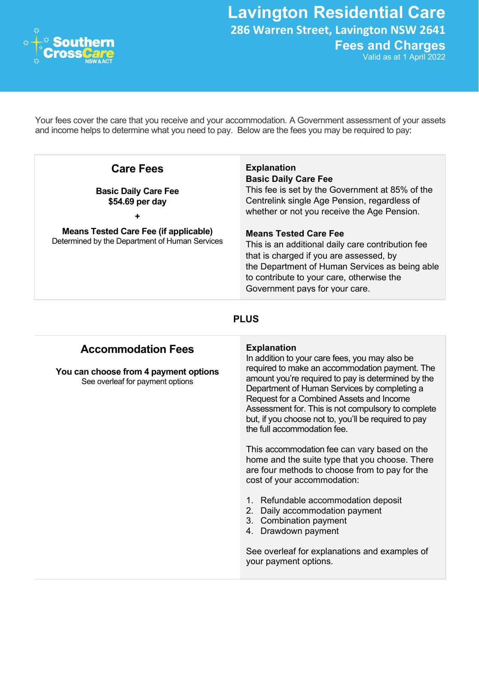

Lavington Residential Care 286 Warren Street, Lavington NSW 2641 Fees and Charges

Valid as at 1 April 2022

Your fees cover the care that you receive and your accommodation. A Government assessment of your assets and income helps to determine what you need to pay. Below are the fees you may be required to pay:

| <b>Care Fees</b>                                                                               | <b>Explanation</b><br><b>Basic Daily Care Fee</b>                                                                                                                                                                                                             |
|------------------------------------------------------------------------------------------------|---------------------------------------------------------------------------------------------------------------------------------------------------------------------------------------------------------------------------------------------------------------|
| <b>Basic Daily Care Fee</b><br>\$54.69 per day                                                 | This fee is set by the Government at 85% of the<br>Centrelink single Age Pension, regardless of<br>whether or not you receive the Age Pension.                                                                                                                |
| <b>Means Tested Care Fee (if applicable)</b><br>Determined by the Department of Human Services | <b>Means Tested Care Fee</b><br>This is an additional daily care contribution fee<br>that is charged if you are assessed, by<br>the Department of Human Services as being able<br>to contribute to your care, otherwise the<br>Government pays for your care. |

## PLUS

## Accommodation Fees

You can choose from 4 payment options See overleaf for payment options

## Explanation

In addition to your care fees, you may also be required to make an accommodation payment. The amount you're required to pay is determined by the Department of Human Services by completing a Request for a Combined Assets and Income Assessment for. This is not compulsory to complete but, if you choose not to, you'll be required to pay the full accommodation fee.

This accommodation fee can vary based on the home and the suite type that you choose. There are four methods to choose from to pay for the cost of your accommodation:

- 1. Refundable accommodation deposit
- 2. Daily accommodation payment
- 3. Combination payment
- 4. Drawdown payment

See overleaf for explanations and examples of your payment options.